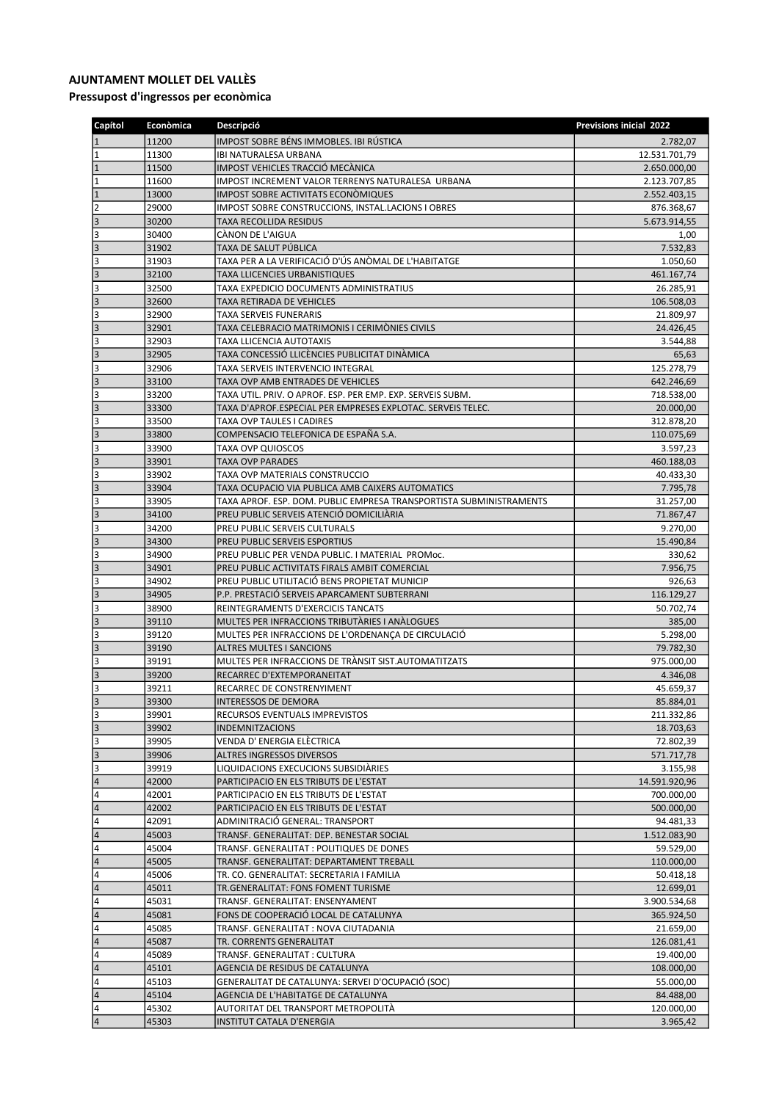## AJUNTAMENT MOLLET DEL VALLÈS

Pressupost d'ingressos per econòmica

| Capítol          | <b>Econòmica</b> | Descripció                                                                    | <b>Previsions inicial 2022</b> |
|------------------|------------------|-------------------------------------------------------------------------------|--------------------------------|
| $\vert$ 1        | 11200            | IMPOST SOBRE BÉNS IMMOBLES. IBI RÚSTICA                                       | 2.782,07                       |
| $\overline{1}$   | 11300            | <b>IBI NATURALESA URBANA</b>                                                  | 12.531.701,79                  |
| $\vert$ 1        | 11500            | IMPOST VEHICLES TRACCIÓ MECÀNICA                                              | 2.650.000,00                   |
| $\overline{1}$   | 11600            | IMPOST INCREMENT VALOR TERRENYS NATURALESA URBANA                             | 2.123.707,85                   |
| $\vert$ 1        | 13000            | <b>IMPOST SOBRE ACTIVITATS ECONOMIQUES</b>                                    | 2.552.403,15                   |
| $\overline{2}$   | 29000            | IMPOST SOBRE CONSTRUCCIONS, INSTAL.LACIONS I OBRES                            | 876.368,67                     |
| $\vert$ 3        | 30200            | <b>TAXA RECOLLIDA RESIDUS</b>                                                 | 5.673.914,55                   |
| 3                | 30400            | CÀNON DE L'AIGUA                                                              | 1,00                           |
| 3                | 31902            | TAXA DE SALUT PÚBLICA<br>TAXA PER A LA VERIFICACIÓ D'ÚS ANÒMAL DE L'HABITATGE | 7.532,83                       |
| 3<br>$\vert$ 3   | 31903<br>32100   | <b>TAXA LLICENCIES URBANISTIQUES</b>                                          | 1.050,60                       |
| 3                | 32500            | TAXA EXPEDICIO DOCUMENTS ADMINISTRATIUS                                       | 461.167,74<br>26.285,91        |
| 3                | 32600            | TAXA RETIRADA DE VEHICLES                                                     | 106.508,03                     |
| 3                | 32900            | <b>TAXA SERVEIS FUNERARIS</b>                                                 | 21.809,97                      |
| 3                | 32901            | TAXA CELEBRACIO MATRIMONIS I CERIMÒNIES CIVILS                                | 24.426,45                      |
| 3                | 32903            | <b>TAXA LLICENCIA AUTOTAXIS</b>                                               | 3.544,88                       |
| 3                | 32905            | TAXA CONCESSIÓ LLICÈNCIES PUBLICITAT DINÀMICA                                 | 65,63                          |
| 3                | 32906            | TAXA SERVEIS INTERVENCIO INTEGRAL                                             | 125.278,79                     |
| 3                | 33100            | TAXA OVP AMB ENTRADES DE VEHICLES                                             | 642.246,69                     |
| 3                | 33200            | TAXA UTIL. PRIV. O APROF. ESP. PER EMP. EXP. SERVEIS SUBM.                    | 718.538,00                     |
| $\vert$ 3        | 33300            | TAXA D'APROF.ESPECIAL PER EMPRESES EXPLOTAC. SERVEIS TELEC.                   | 20.000,00                      |
| 3                | 33500            | <b>TAXA OVP TAULES I CADIRES</b>                                              | 312.878,20                     |
| 3                | 33800            | COMPENSACIO TELEFONICA DE ESPAÑA S.A.                                         | 110.075,69                     |
| 3                | 33900            | <b>TAXA OVP QUIOSCOS</b>                                                      | 3.597,23                       |
| 3                | 33901            | <b>TAXA OVP PARADES</b>                                                       | 460.188,03                     |
| 3                | 33902            | TAXA OVP MATERIALS CONSTRUCCIO                                                | 40.433,30                      |
| 3                | 33904            | TAXA OCUPACIO VIA PUBLICA AMB CAIXERS AUTOMATICS                              | 7.795,78                       |
| 3                | 33905            | TAXA APROF. ESP. DOM. PUBLIC EMPRESA TRANSPORTISTA SUBMINISTRAMENTS           | 31.257,00                      |
| 3<br>3           | 34100<br>34200   | PREU PUBLIC SERVEIS ATENCIÓ DOMICILIÀRIA<br>PREU PUBLIC SERVEIS CULTURALS     | 71.867,47                      |
| 3                | 34300            | PREU PUBLIC SERVEIS ESPORTIUS                                                 | 9.270,00<br>15.490,84          |
| 3                | 34900            | PREU PUBLIC PER VENDA PUBLIC. I MATERIAL PROMOC.                              | 330,62                         |
| 3                | 34901            | PREU PUBLIC ACTIVITATS FIRALS AMBIT COMERCIAL                                 | 7.956,75                       |
| 3                | 34902            | PREU PUBLIC UTILITACIÓ BENS PROPIETAT MUNICIP                                 | 926,63                         |
| $\vert$ 3        | 34905            | P.P. PRESTACIÓ SERVEIS APARCAMENT SUBTERRANI                                  | 116.129,27                     |
| 3                | 38900            | REINTEGRAMENTS D'EXERCICIS TANCATS                                            | 50.702,74                      |
| 3                | 39110            | MULTES PER INFRACCIONS TRIBUTARIES I ANALOGUES                                | 385,00                         |
| 3                | 39120            | MULTES PER INFRACCIONS DE L'ORDENANÇA DE CIRCULACIÓ                           | 5.298,00                       |
| 3                | 39190            | <b>ALTRES MULTES I SANCIONS</b>                                               | 79.782,30                      |
| 3                | 39191            | MULTES PER INFRACCIONS DE TRANSIT SIST. AUTOMATITZATS                         | 975.000,00                     |
| 3                | 39200            | RECARREC D'EXTEMPORANEITAT                                                    | 4.346,08                       |
| 3                | 39211            | RECARREC DE CONSTRENYIMENT                                                    | 45.659,37                      |
| lз               | 39300            | <b>INTERESSOS DE DEMORA</b>                                                   | 85.884,01                      |
| 3<br>$ 3\rangle$ | 39901            | <b>RECURSOS EVENTUALS IMPREVISTOS</b><br><b>INDEMNITZACIONS</b>               | 211.332,86                     |
| 3                | 39902<br>39905   | VENDA D' ENERGIA ELÈCTRICA                                                    | 18.703,63                      |
| $\vert$ 3        | 39906            | ALTRES INGRESSOS DIVERSOS                                                     | 72.802,39<br>571.717,78        |
| 3                | 39919            | LIQUIDACIONS EXECUCIONS SUBSIDIARIES                                          | 3.155,98                       |
| 4                | 42000            | PARTICIPACIO EN ELS TRIBUTS DE L'ESTAT                                        | 14.591.920,96                  |
| 4                | 42001            | PARTICIPACIO EN ELS TRIBUTS DE L'ESTAT                                        | 700.000,00                     |
| $\vert 4$        | 42002            | PARTICIPACIO EN ELS TRIBUTS DE L'ESTAT                                        | 500.000,00                     |
| 4                | 42091            | ADMINITRACIÓ GENERAL: TRANSPORT                                               | 94.481,33                      |
| $\vert 4$        | 45003            | TRANSF. GENERALITAT: DEP. BENESTAR SOCIAL                                     | 1.512.083,90                   |
| 4                | 45004            | TRANSF. GENERALITAT : POLITIQUES DE DONES                                     | 59.529,00                      |
| $\vert 4$        | 45005            | TRANSF. GENERALITAT: DEPARTAMENT TREBALL                                      | 110.000,00                     |
| 4                | 45006            | TR. CO. GENERALITAT: SECRETARIA I FAMILIA                                     | 50.418,18                      |
| $\vert 4$        | 45011            | TR.GENERALITAT: FONS FOMENT TURISME                                           | 12.699,01                      |
| 4                | 45031            | TRANSF. GENERALITAT: ENSENYAMENT                                              | 3.900.534,68                   |
| 4                | 45081            | FONS DE COOPERACIÓ LOCAL DE CATALUNYA                                         | 365.924,50                     |
| 4                | 45085            | TRANSF. GENERALITAT : NOVA CIUTADANIA                                         | 21.659,00                      |
| $\vert 4$<br>4   | 45087<br>45089   | TR. CORRENTS GENERALITAT<br>TRANSF. GENERALITAT : CULTURA                     | 126.081,41<br>19.400,00        |
| $\vert 4$        | 45101            | AGENCIA DE RESIDUS DE CATALUNYA                                               | 108.000,00                     |
| 4                | 45103            | GENERALITAT DE CATALUNYA: SERVEI D'OCUPACIÓ (SOC)                             | 55.000,00                      |
| $\vert 4 \vert$  | 45104            | AGENCIA DE L'HABITATGE DE CATALUNYA                                           | 84.488,00                      |
| 4                | 45302            | AUTORITAT DEL TRANSPORT METROPOLITÀ                                           | 120.000,00                     |
| $\vert 4$        | 45303            | INSTITUT CATALA D'ENERGIA                                                     | 3.965,42                       |